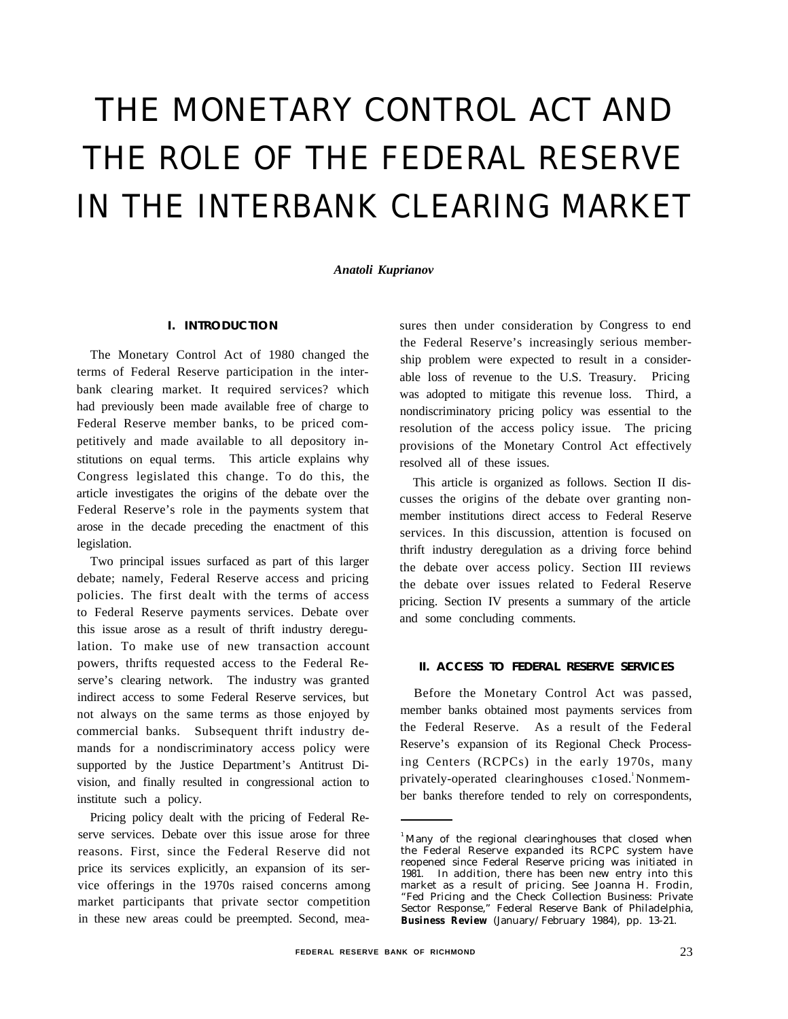# THE MONETARY CONTROL ACT AND THE ROLE OF THE FEDERAL RESERVE IN THE INTERBANK CLEARING MARKET

*Anatoli Kuprianov*

#### **I. INTRODUCTION**

The Monetary Control Act of 1980 changed the terms of Federal Reserve participation in the interbank clearing market. It required services? which had previously been made available free of charge to Federal Reserve member banks, to be priced competitively and made available to all depository institutions on equal terms. This article explains why Congress legislated this change. To do this, the article investigates the origins of the debate over the Federal Reserve's role in the payments system that arose in the decade preceding the enactment of this legislation.

Two principal issues surfaced as part of this larger debate; namely, Federal Reserve access and pricing policies. The first dealt with the terms of access to Federal Reserve payments services. Debate over this issue arose as a result of thrift industry deregulation. To make use of new transaction account powers, thrifts requested access to the Federal Reserve's clearing network. The industry was granted indirect access to some Federal Reserve services, but not always on the same terms as those enjoyed by commercial banks. Subsequent thrift industry demands for a nondiscriminatory access policy were supported by the Justice Department's Antitrust Division, and finally resulted in congressional action to institute such a policy.

Pricing policy dealt with the pricing of Federal Reserve services. Debate over this issue arose for three reasons. First, since the Federal Reserve did not price its services explicitly, an expansion of its service offerings in the 1970s raised concerns among market participants that private sector competition in these new areas could be preempted. Second, measures then under consideration by Congress to end the Federal Reserve's increasingly serious membership problem were expected to result in a considerable loss of revenue to the U.S. Treasury. Pricing was adopted to mitigate this revenue loss. Third, a nondiscriminatory pricing policy was essential to the resolution of the access policy issue. The pricing provisions of the Monetary Control Act effectively resolved all of these issues.

This article is organized as follows. Section II discusses the origins of the debate over granting nonmember institutions direct access to Federal Reserve services. In this discussion, attention is focused on thrift industry deregulation as a driving force behind the debate over access policy. Section III reviews the debate over issues related to Federal Reserve pricing. Section IV presents a summary of the article and some concluding comments.

### **II. ACCESS TO FEDERAL RESERVE SERVICES**

Before the Monetary Control Act was passed, member banks obtained most payments services from the Federal Reserve. As a result of the Federal Reserve's expansion of its Regional Check Processing Centers (RCPCs) in the early 1970s, many privately-operated clearinghouses closed.<sup>1</sup> Nonmember banks therefore tended to rely on correspondents,

 $<sup>1</sup>$ Many of the regional clearinghouses that closed when</sup> the Federal Reserve expanded its RCPC system have reopened since Federal Reserve pricing was initiated in 1981. In addition, there has been new entry into this market as a result of pricing. See Joanna H. Frodin, "Fed Pricing and the Check Collection Business: Private Sector Response," Federal Reserve Bank of Philadelphia, **Business Review** (January/February 1984), pp. 13-21.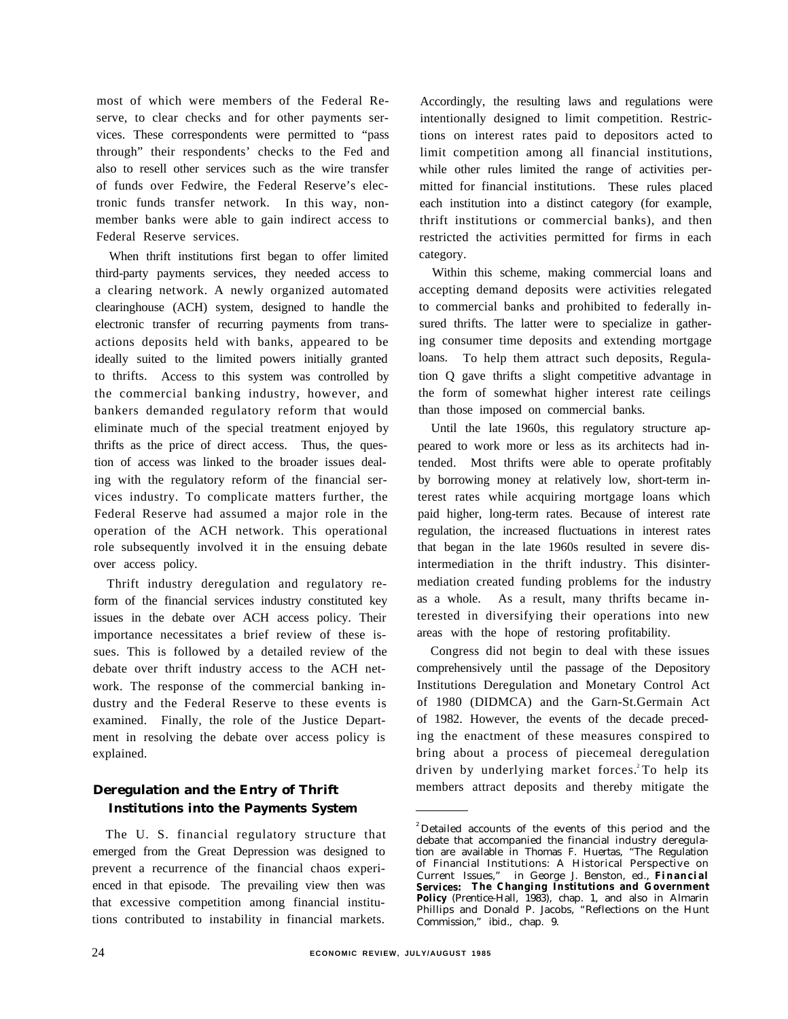most of which were members of the Federal Reserve, to clear checks and for other payments services. These correspondents were permitted to "pass through" their respondents' checks to the Fed and also to resell other services such as the wire transfer of funds over Fedwire, the Federal Reserve's electronic funds transfer network. In this way, nonmember banks were able to gain indirect access to Federal Reserve services.

When thrift institutions first began to offer limited third-party payments services, they needed access to a clearing network. A newly organized automated clearinghouse (ACH) system, designed to handle the electronic transfer of recurring payments from transactions deposits held with banks, appeared to be ideally suited to the limited powers initially granted to thrifts. Access to this system was controlled by the commercial banking industry, however, and bankers demanded regulatory reform that would eliminate much of the special treatment enjoyed by thrifts as the price of direct access. Thus, the question of access was linked to the broader issues dealing with the regulatory reform of the financial services industry. To complicate matters further, the Federal Reserve had assumed a major role in the operation of the ACH network. This operational role subsequently involved it in the ensuing debate over access policy.

Thrift industry deregulation and regulatory reform of the financial services industry constituted key issues in the debate over ACH access policy. Their importance necessitates a brief review of these issues. This is followed by a detailed review of the debate over thrift industry access to the ACH network. The response of the commercial banking industry and the Federal Reserve to these events is examined. Finally, the role of the Justice Department in resolving the debate over access policy is explained.

# **Deregulation and the Entry of Thrift Institutions into the Payments System**

The U. S. financial regulatory structure that emerged from the Great Depression was designed to prevent a recurrence of the financial chaos experienced in that episode. The prevailing view then was that excessive competition among financial institutions contributed to instability in financial markets.

Accordingly, the resulting laws and regulations were intentionally designed to limit competition. Restrictions on interest rates paid to depositors acted to limit competition among all financial institutions, while other rules limited the range of activities permitted for financial institutions. These rules placed each institution into a distinct category (for example, thrift institutions or commercial banks), and then restricted the activities permitted for firms in each category.

Within this scheme, making commercial loans and accepting demand deposits were activities relegated to commercial banks and prohibited to federally insured thrifts. The latter were to specialize in gathering consumer time deposits and extending mortgage loans. To help them attract such deposits, Regulation Q gave thrifts a slight competitive advantage in the form of somewhat higher interest rate ceilings than those imposed on commercial banks.

Until the late 1960s, this regulatory structure appeared to work more or less as its architects had intended. Most thrifts were able to operate profitably by borrowing money at relatively low, short-term interest rates while acquiring mortgage loans which paid higher, long-term rates. Because of interest rate regulation, the increased fluctuations in interest rates that began in the late 1960s resulted in severe disintermediation in the thrift industry. This disintermediation created funding problems for the industry as a whole. As a result, many thrifts became interested in diversifying their operations into new areas with the hope of restoring profitability.

Congress did not begin to deal with these issues comprehensively until the passage of the Depository Institutions Deregulation and Monetary Control Act of 1980 (DIDMCA) and the Garn-St.Germain Act of 1982. However, the events of the decade preceding the enactment of these measures conspired to bring about a process of piecemeal deregulation driven by underlying market forces.<sup>2</sup>To help its members attract deposits and thereby mitigate the

<sup>&</sup>lt;sup>2</sup> Detailed accounts of the events of this period and the debate that accompanied the financial industry deregulation are available in Thomas F. Huertas, "The Regulation of Financial Institutions: A Historical Perspective on Current Issues," in George J. Benston, ed., **Financial Services: The Changing Institutions and Government Policy** (Prentice-Hall, 1983), chap. 1, and also in Almarin Phillips and Donald P. Jacobs, "Reflections on the Hunt Commission," ibid., chap. 9.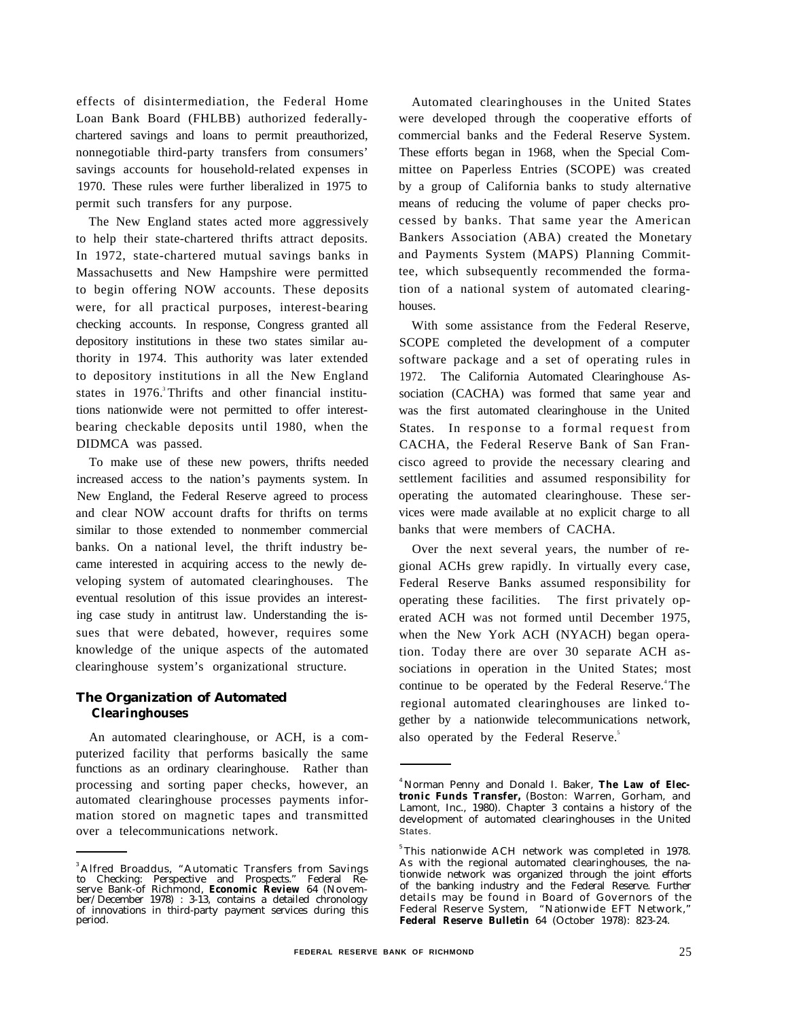effects of disintermediation, the Federal Home Loan Bank Board (FHLBB) authorized federallychartered savings and loans to permit preauthorized, nonnegotiable third-party transfers from consumers' savings accounts for household-related expenses in 1970. These rules were further liberalized in 1975 to permit such transfers for any purpose.

The New England states acted more aggressively to help their state-chartered thrifts attract deposits. In 1972, state-chartered mutual savings banks in Massachusetts and New Hampshire were permitted to begin offering NOW accounts. These deposits were, for all practical purposes, interest-bearing checking accounts. In response, Congress granted all depository institutions in these two states similar authority in 1974. This authority was later extended to depository institutions in all the New England states in 1976.<sup>3</sup> Thrifts and other financial institutions nationwide were not permitted to offer interestbearing checkable deposits until 1980, when the DIDMCA was passed.

To make use of these new powers, thrifts needed increased access to the nation's payments system. In New England, the Federal Reserve agreed to process and clear NOW account drafts for thrifts on terms similar to those extended to nonmember commercial banks. On a national level, the thrift industry became interested in acquiring access to the newly developing system of automated clearinghouses. The eventual resolution of this issue provides an interesting case study in antitrust law. Understanding the issues that were debated, however, requires some knowledge of the unique aspects of the automated clearinghouse system's organizational structure.

# **The Organization of Automated Clearinghouses**

An automated clearinghouse, or ACH, is a computerized facility that performs basically the same functions as an ordinary clearinghouse. Rather than processing and sorting paper checks, however, an automated clearinghouse processes payments information stored on magnetic tapes and transmitted over a telecommunications network.

Automated clearinghouses in the United States were developed through the cooperative efforts of commercial banks and the Federal Reserve System. These efforts began in 1968, when the Special Committee on Paperless Entries (SCOPE) was created by a group of California banks to study alternative means of reducing the volume of paper checks processed by banks. That same year the American Bankers Association (ABA) created the Monetary and Payments System (MAPS) Planning Committee, which subsequently recommended the formation of a national system of automated clearinghouses.

With some assistance from the Federal Reserve, SCOPE completed the development of a computer software package and a set of operating rules in 1972. The California Automated Clearinghouse Association (CACHA) was formed that same year and was the first automated clearinghouse in the United States. In response to a formal request from CACHA, the Federal Reserve Bank of San Francisco agreed to provide the necessary clearing and settlement facilities and assumed responsibility for operating the automated clearinghouse. These services were made available at no explicit charge to all banks that were members of CACHA.

Over the next several years, the number of regional ACHs grew rapidly. In virtually every case, Federal Reserve Banks assumed responsibility for operating these facilities. The first privately operated ACH was not formed until December 1975, when the New York ACH (NYACH) began operation. Today there are over 30 separate ACH associations in operation in the United States; most continue to be operated by the Federal Reserve.<sup>4</sup>The regional automated clearinghouses are linked together by a nationwide telecommunications network, also operated by the Federal Reserve.<sup>5</sup>

<sup>&</sup>lt;sup>3</sup> Alfred Broaddus, "Automatic Transfers from Savings to Checking: Perspective and Prospects." Federal Reserve Bank-of Richmond, **Economic Review** 64 (Novem-ber/December 1978) : 3-13, contains a detailed chronology of innovations in third-party payment services during this period.

<sup>&</sup>lt;sup>4</sup> Norman Penny and Donald I. Baker, **The Law of Electronic Funds Transfer,** (Boston: Warren, Gorham, and Lamont, Inc., 1980). Chapter 3 contains a history of the development of automated clearinghouses in the United States.

<sup>&</sup>lt;sup>5</sup>This nationwide ACH network was completed in 1978. As with the regional automated clearinghouses, the nationwide network was organized through the joint efforts of the banking industry and the Federal Reserve. Further details may be found in Board of Governors of the Federal Reserve System, "Nationwide EFT Network," **Federal Reserve Bulletin** 64 (October 1978): 823-24.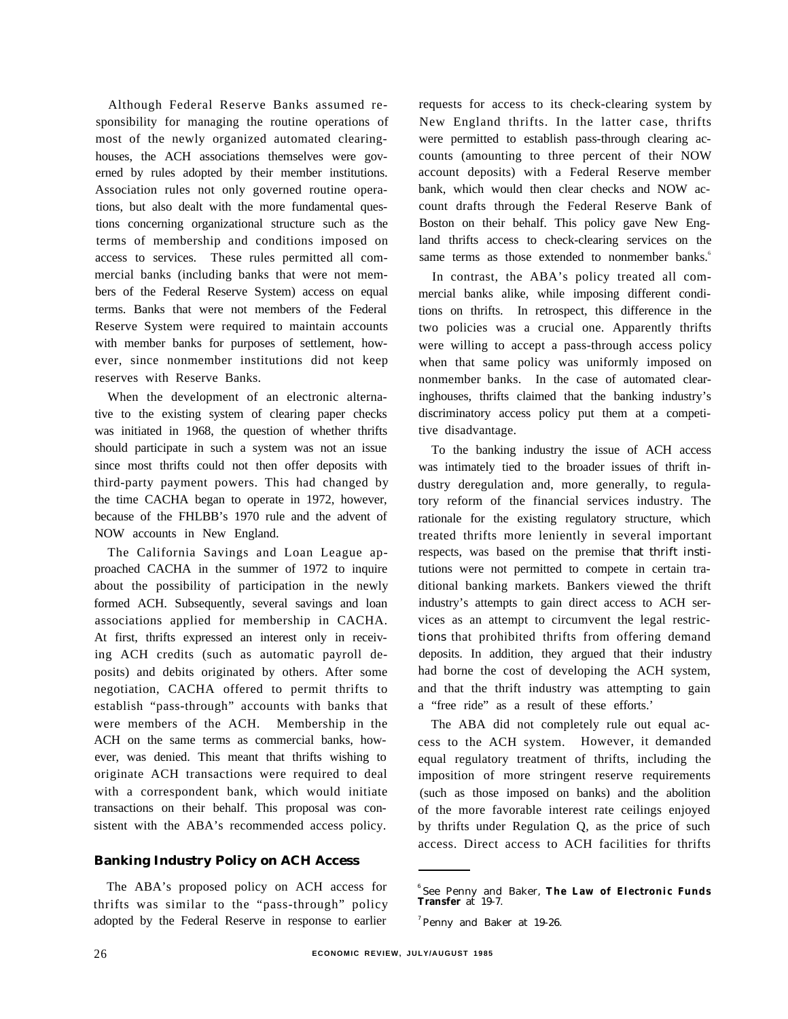Although Federal Reserve Banks assumed responsibility for managing the routine operations of most of the newly organized automated clearinghouses, the ACH associations themselves were governed by rules adopted by their member institutions. Association rules not only governed routine operations, but also dealt with the more fundamental questions concerning organizational structure such as the terms of membership and conditions imposed on access to services. These rules permitted all commercial banks (including banks that were not members of the Federal Reserve System) access on equal terms. Banks that were not members of the Federal Reserve System were required to maintain accounts with member banks for purposes of settlement, however, since nonmember institutions did not keep reserves with Reserve Banks.

When the development of an electronic alternative to the existing system of clearing paper checks was initiated in 1968, the question of whether thrifts should participate in such a system was not an issue since most thrifts could not then offer deposits with third-party payment powers. This had changed by the time CACHA began to operate in 1972, however, because of the FHLBB's 1970 rule and the advent of NOW accounts in New England.

The California Savings and Loan League approached CACHA in the summer of 1972 to inquire about the possibility of participation in the newly formed ACH. Subsequently, several savings and loan associations applied for membership in CACHA. At first, thrifts expressed an interest only in receiving ACH credits (such as automatic payroll deposits) and debits originated by others. After some negotiation, CACHA offered to permit thrifts to establish "pass-through" accounts with banks that were members of the ACH. Membership in the ACH on the same terms as commercial banks, however, was denied. This meant that thrifts wishing to originate ACH transactions were required to deal with a correspondent bank, which would initiate transactions on their behalf. This proposal was consistent with the ABA's recommended access policy.

#### **Banking Industry Policy on ACH Access**

The ABA's proposed policy on ACH access for thrifts was similar to the "pass-through" policy adopted by the Federal Reserve in response to earlier

requests for access to its check-clearing system by New England thrifts. In the latter case, thrifts were permitted to establish pass-through clearing accounts (amounting to three percent of their NOW account deposits) with a Federal Reserve member bank, which would then clear checks and NOW account drafts through the Federal Reserve Bank of Boston on their behalf. This policy gave New England thrifts access to check-clearing services on the same terms as those extended to nonmember banks.<sup>6</sup>

In contrast, the ABA's policy treated all commercial banks alike, while imposing different conditions on thrifts. In retrospect, this difference in the two policies was a crucial one. Apparently thrifts were willing to accept a pass-through access policy when that same policy was uniformly imposed on nonmember banks. In the case of automated clearinghouses, thrifts claimed that the banking industry's discriminatory access policy put them at a competitive disadvantage.

To the banking industry the issue of ACH access was intimately tied to the broader issues of thrift industry deregulation and, more generally, to regulatory reform of the financial services industry. The rationale for the existing regulatory structure, which treated thrifts more leniently in several important respects, was based on the premise that thrift institutions were not permitted to compete in certain traditional banking markets. Bankers viewed the thrift industry's attempts to gain direct access to ACH services as an attempt to circumvent the legal restrictions that prohibited thrifts from offering demand deposits. In addition, they argued that their industry had borne the cost of developing the ACH system, and that the thrift industry was attempting to gain a "free ride" as a result of these efforts.'

The ABA did not completely rule out equal access to the ACH system. However, it demanded equal regulatory treatment of thrifts, including the imposition of more stringent reserve requirements (such as those imposed on banks) and the abolition of the more favorable interest rate ceilings enjoyed by thrifts under Regulation Q, as the price of such access. Direct access to ACH facilities for thrifts

<sup>6</sup>See Penny and Baker, **The Law of Electronic Funds Transfer** at 19-7.

 $'$ Penny and Baker at 19-26.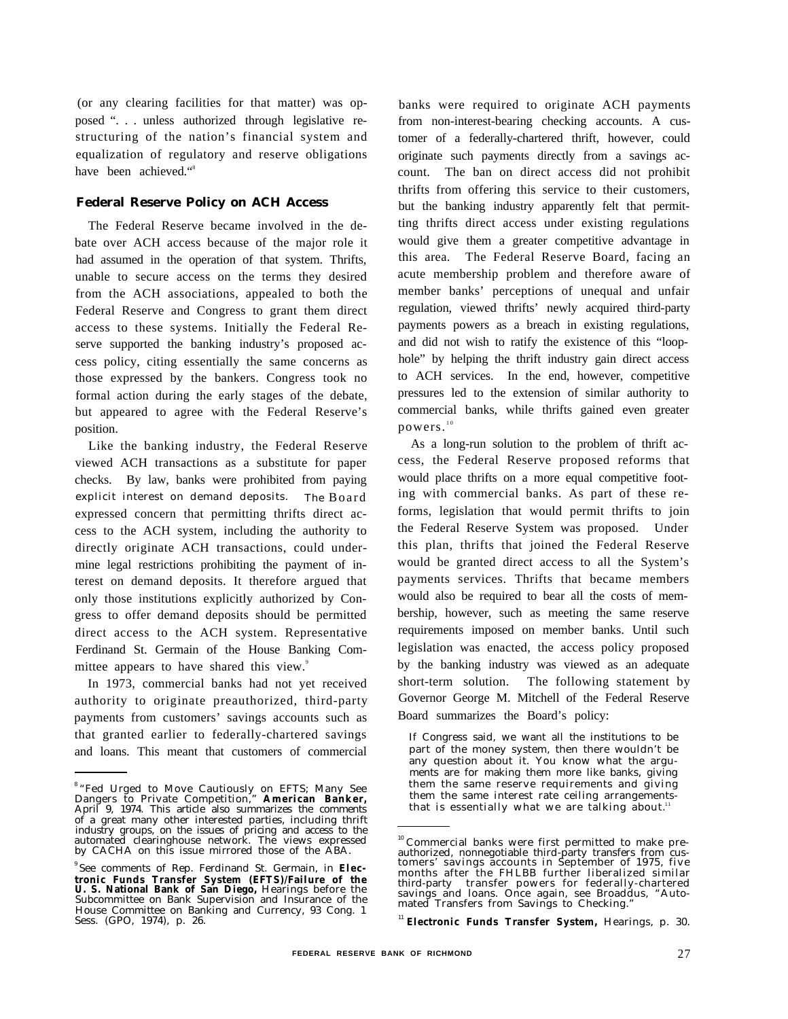(or any clearing facilities for that matter) was opposed ". . . unless authorized through legislative restructuring of the nation's financial system and equalization of regulatory and reserve obligations have been achieved."<sup>8</sup>

### **Federal Reserve Policy on ACH Access**

The Federal Reserve became involved in the debate over ACH access because of the major role it had assumed in the operation of that system. Thrifts, unable to secure access on the terms they desired from the ACH associations, appealed to both the Federal Reserve and Congress to grant them direct access to these systems. Initially the Federal Reserve supported the banking industry's proposed access policy, citing essentially the same concerns as those expressed by the bankers. Congress took no formal action during the early stages of the debate, but appeared to agree with the Federal Reserve's position.

Like the banking industry, the Federal Reserve viewed ACH transactions as a substitute for paper checks. By law, banks were prohibited from paying explicit interest on demand deposits. The Board expressed concern that permitting thrifts direct access to the ACH system, including the authority to directly originate ACH transactions, could undermine legal restrictions prohibiting the payment of interest on demand deposits. It therefore argued that only those institutions explicitly authorized by Congress to offer demand deposits should be permitted direct access to the ACH system. Representative Ferdinand St. Germain of the House Banking Committee appears to have shared this view.<sup>9</sup>

In 1973, commercial banks had not yet received authority to originate preauthorized, third-party payments from customers' savings accounts such as that granted earlier to federally-chartered savings and loans. This meant that customers of commercial

banks were required to originate ACH payments from non-interest-bearing checking accounts. A customer of a federally-chartered thrift, however, could originate such payments directly from a savings account. The ban on direct access did not prohibit thrifts from offering this service to their customers, but the banking industry apparently felt that permitting thrifts direct access under existing regulations would give them a greater competitive advantage in this area. The Federal Reserve Board, facing an acute membership problem and therefore aware of member banks' perceptions of unequal and unfair regulation, viewed thrifts' newly acquired third-party payments powers as a breach in existing regulations, and did not wish to ratify the existence of this "loophole" by helping the thrift industry gain direct access to ACH services. In the end, however, competitive pressures led to the extension of similar authority to commercial banks, while thrifts gained even greater powers."

As a long-run solution to the problem of thrift access, the Federal Reserve proposed reforms that would place thrifts on a more equal competitive footing with commercial banks. As part of these reforms, legislation that would permit thrifts to join the Federal Reserve System was proposed. Under this plan, thrifts that joined the Federal Reserve would be granted direct access to all the System's payments services. Thrifts that became members would also be required to bear all the costs of membership, however, such as meeting the same reserve requirements imposed on member banks. Until such legislation was enacted, the access policy proposed by the banking industry was viewed as an adequate short-term solution. The following statement by Governor George M. Mitchell of the Federal Reserve Board summarizes the Board's policy:

If Congress said, we want all the institutions to be part of the money system, then there wouldn't be any question about it. You know what the arguments are for making them more like banks, giving them the same reserve requirements and giving them the same interest rate ceiling arrangementsthat is essentially what we are talking about.<sup>11</sup>

<sup>&</sup>lt;sup>8</sup> "Fed Urged to Move Cautiously on EFTS; Many See Dangers to Private Competition," **American Banker,** April 9, 1974. This article also summarizes the comments of a great many other interested parties, including thrift industry groups, on the issues of pricing and access to the automated clearinghouse network. The views expressed by CACHA on this issue mirrored those of the ABA.

<sup>&</sup>lt;sup>9</sup> See comments of Rep. Ferdinand St. Germain, in Elec**tronic Funds Transfer System (EFTS)/Failure of the U. S. National Bank of San Diego,** Hearings before the Subcommittee on Bank Supervision and Insurance of the House Committee on Banking and Currency, 93 Cong. 1 Sess. (GPO, 1974), p. 26.

<sup>&</sup>lt;sup>10</sup> Commercial banks were first permitted to make preauthorized, nonnegotiable third-party transfers from customers' savings accounts in September of 1975, five months after the FHLBB further liberalized similar third-party transfer powers for federally-chartered savings and loans. Once again, see Broaddus, "Auto-mated Transfers from Savings to Checking."

<sup>11</sup>**Electronic Funds Transfer System,** Hearings, p. 30.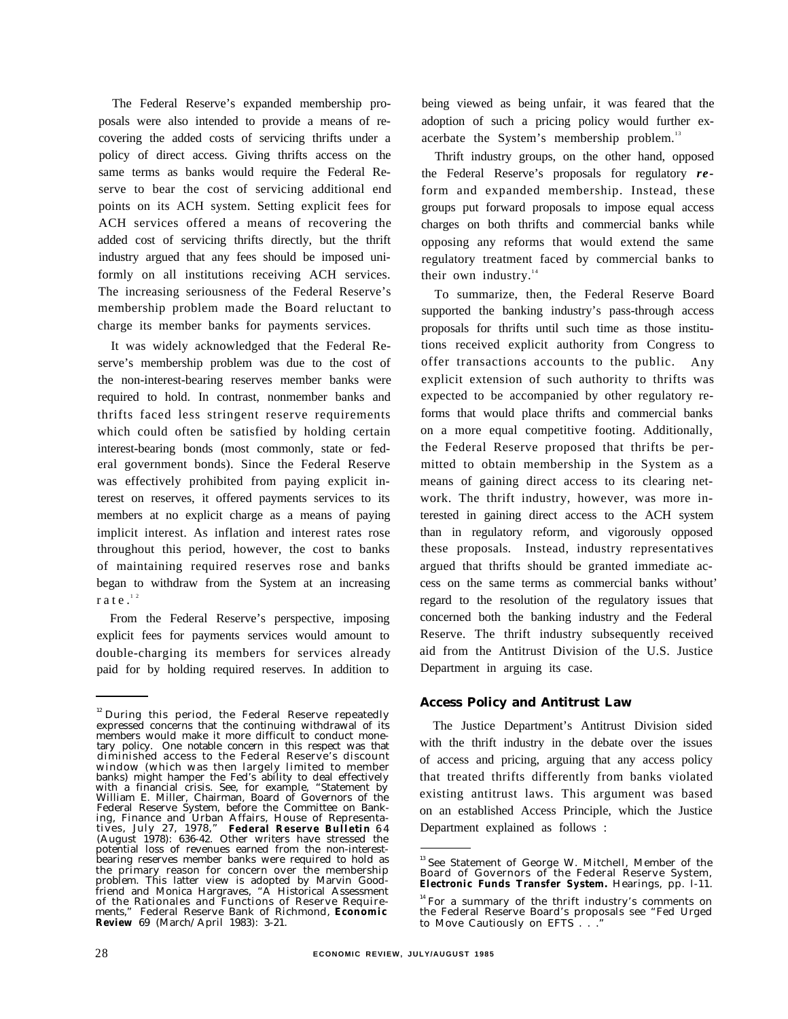The Federal Reserve's expanded membership proposals were also intended to provide a means of recovering the added costs of servicing thrifts under a policy of direct access. Giving thrifts access on the same terms as banks would require the Federal Reserve to bear the cost of servicing additional end points on its ACH system. Setting explicit fees for ACH services offered a means of recovering the added cost of servicing thrifts directly, but the thrift industry argued that any fees should be imposed uniformly on all institutions receiving ACH services. The increasing seriousness of the Federal Reserve's membership problem made the Board reluctant to charge its member banks for payments services.

It was widely acknowledged that the Federal Reserve's membership problem was due to the cost of the non-interest-bearing reserves member banks were required to hold. In contrast, nonmember banks and thrifts faced less stringent reserve requirements which could often be satisfied by holding certain interest-bearing bonds (most commonly, state or federal government bonds). Since the Federal Reserve was effectively prohibited from paying explicit interest on reserves, it offered payments services to its members at no explicit charge as a means of paying implicit interest. As inflation and interest rates rose throughout this period, however, the cost to banks of maintaining required reserves rose and banks began to withdraw from the System at an increasing rate. $12$ 

From the Federal Reserve's perspective, imposing explicit fees for payments services would amount to double-charging its members for services already paid for by holding required reserves. In addition to

being viewed as being unfair, it was feared that the adoption of such a pricing policy would further exacerbate the System's membership problem.<sup>13</sup>

Thrift industry groups, on the other hand, opposed the Federal Reserve's proposals for regulatory *re*form and expanded membership. Instead, these groups put forward proposals to impose equal access charges on both thrifts and commercial banks while opposing any reforms that would extend the same regulatory treatment faced by commercial banks to their own industry. $14$ 

To summarize, then, the Federal Reserve Board supported the banking industry's pass-through access proposals for thrifts until such time as those institutions received explicit authority from Congress to offer transactions accounts to the public. Any explicit extension of such authority to thrifts was expected to be accompanied by other regulatory reforms that would place thrifts and commercial banks on a more equal competitive footing. Additionally, the Federal Reserve proposed that thrifts be permitted to obtain membership in the System as a means of gaining direct access to its clearing network. The thrift industry, however, was more interested in gaining direct access to the ACH system than in regulatory reform, and vigorously opposed these proposals. Instead, industry representatives argued that thrifts should be granted immediate access on the same terms as commercial banks without' regard to the resolution of the regulatory issues that concerned both the banking industry and the Federal Reserve. The thrift industry subsequently received aid from the Antitrust Division of the U.S. Justice Department in arguing its case.

#### **Access Policy and Antitrust Law**

The Justice Department's Antitrust Division sided with the thrift industry in the debate over the issues of access and pricing, arguing that any access policy that treated thrifts differently from banks violated existing antitrust laws. This argument was based on an established Access Principle, which the Justice Department explained as follows :

<sup>&</sup>lt;sup>12</sup> During this period, the Federal Reserve repeatedly expressed concerns that the continuing withdrawal of its members would make it more difficult to conduct monetary policy. One notable concern in this respect was that diminished access to the Federal Reserve's discount window (which was then largely limited to member banks) might hamper the Fed's ability to deal effectively with a financial crisis. See, for example, "Statement by William E. Miller, Chairman, Board of Governors of the Federal Reserve System, before the Committee on Banking, Finance and Urban Affairs, House of Representa-tives, July 27, 1978," **Federal Reserve Bulletin** 6 4 (August 1978): 636-42. Other writers have stressed the potential loss of revenues earned from the non-interest-bearing reserves member banks were required to hold as the primary reason for concern over the membership problem. This latter view is adopted by Marvin Goodfriend and Monica Hargraves, "A Historical Assessment of the Rationales and Functions of Reserve Require-ments," Federal Reserve Bank of Richmond, **Economic Review** 69 (March/April 1983): 3-21.

<sup>&</sup>lt;sup>13</sup> See Statement of George W. Mitchell, Member of the Board of Governors of the Federal Reserve System, **Electronic Funds Transfer System.** Hearings, pp. l-11.

<sup>&</sup>lt;sup>14</sup> For a summary of the thrift industry's comments on the Federal Reserve Board's proposals see "Fed Urged to Move Cautiously on EFTS . . ."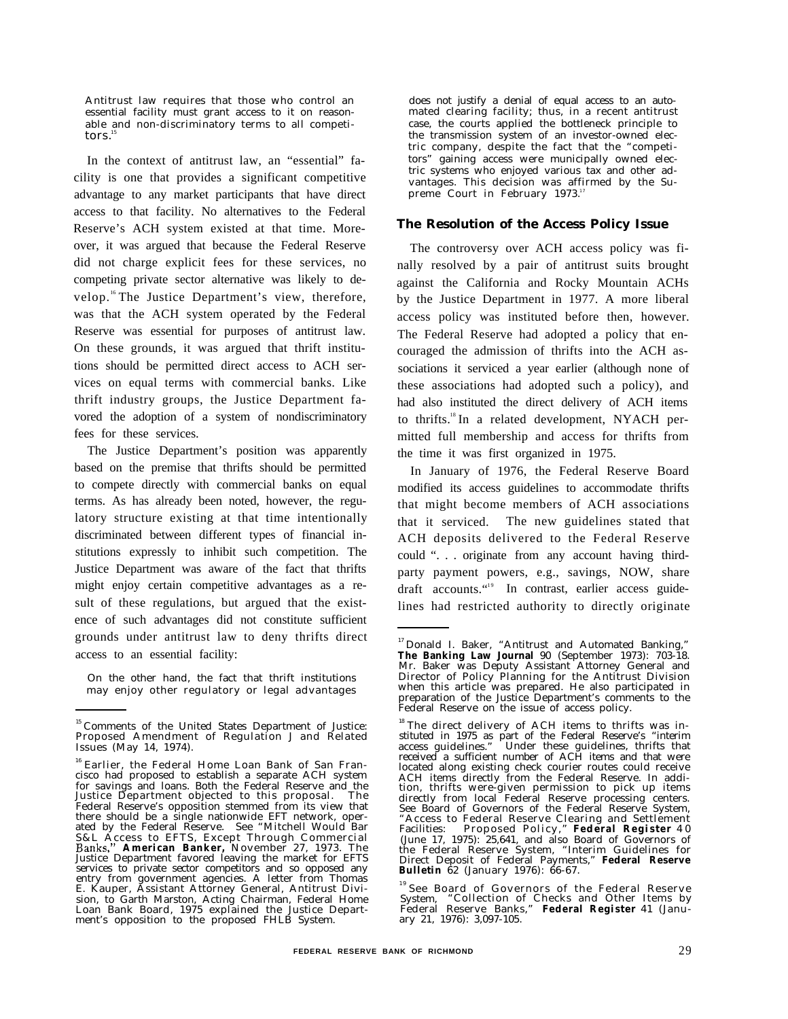Antitrust law requires that those who control an essential facility must grant access to it on reasonable and non-discriminatory terms to all competitors.

In the context of antitrust law, an "essential" facility is one that provides a significant competitive advantage to any market participants that have direct access to that facility. No alternatives to the Federal Reserve's ACH system existed at that time. Moreover, it was argued that because the Federal Reserve did not charge explicit fees for these services, no competing private sector alternative was likely to develop.<sup>16</sup>The Justice Department's view, therefore, was that the ACH system operated by the Federal Reserve was essential for purposes of antitrust law. On these grounds, it was argued that thrift institutions should be permitted direct access to ACH services on equal terms with commercial banks. Like thrift industry groups, the Justice Department favored the adoption of a system of nondiscriminatory fees for these services.

The Justice Department's position was apparently based on the premise that thrifts should be permitted to compete directly with commercial banks on equal terms. As has already been noted, however, the regulatory structure existing at that time intentionally discriminated between different types of financial institutions expressly to inhibit such competition. The Justice Department was aware of the fact that thrifts might enjoy certain competitive advantages as a result of these regulations, but argued that the existence of such advantages did not constitute sufficient grounds under antitrust law to deny thrifts direct access to an essential facility:

On the other hand, the fact that thrift institutions may enjoy other regulatory or legal advantages

does not justify a denial of equal access to an automated clearing facility; thus, in a recent antitrust case, the courts applied the bottleneck principle to the transmission system of an investor-owned electric company, despite the fact that the "competitors" gaining access were municipally owned electric systems who enjoyed various tax and other advantages. This decision was affirmed by the Supreme Court in February 1973.<sup>17</sup>

#### **The Resolution of the Access Policy Issue**

The controversy over ACH access policy was finally resolved by a pair of antitrust suits brought against the California and Rocky Mountain ACHs by the Justice Department in 1977. A more liberal access policy was instituted before then, however. The Federal Reserve had adopted a policy that encouraged the admission of thrifts into the ACH associations it serviced a year earlier (although none of these associations had adopted such a policy), and had also instituted the direct delivery of ACH items to thrifts.<sup>18</sup> In a related development, NYACH permitted full membership and access for thrifts from the time it was first organized in 1975.

In January of 1976, the Federal Reserve Board modified its access guidelines to accommodate thrifts that might become members of ACH associations that it serviced. The new guidelines stated that ACH deposits delivered to the Federal Reserve could ". . . originate from any account having thirdparty payment powers, e.g., savings, NOW, share draft accounts."<sup>19</sup> In contrast, earlier access guidelines had restricted authority to directly originate

<sup>&</sup>lt;sup>15</sup> Comments of the United States Department of Justice:<br>Proposed Amendment of Regulation J and Related Issues (May 14, 1974).

<sup>&</sup>lt;sup>16</sup> Earlier, the Federal Home Loan Bank of San Fran-<br>cisco had proposed to establish a separate ACH system for savings and loans. Both the Federal Reserve and the Justice Department objected to this proposal. The Federal Reserve's opposition stemmed from its view that there should be a single nationwide EFT network, oper-ated by the Federal Reserve. See "Mitchell Would Bar S&L Access to EFTS, Except Through Commercial **American Banker,** November 27, 1973. The Justice Department favored leaving the market for EFTS services to private sector competitors and so opposed any entry from government agencies. A letter from Thomas E. Kauper, Assistant Attorney General, Antitrust Division, to Garth Marston, Acting Chairman, Federal Home Loan Bank Board, 1975 explained the Justice Department's opposition to the proposed FHLB System.

<sup>&</sup>lt;sup>17</sup> Donald I. Baker, "Antitrust and Automated Banking," **The Banking Law Journal** 90 (September 1973): 703-18. Mr. Baker was Deputy Assistant Attorney General and Director of Policy Planning for the Antitrust Division when this article was prepared. He also participated in preparation of the Justice Department's comments to the Federal Reserve on the issue of access policy.

 $18$ <sup>18</sup>The direct delivery of ACH items to thrifts was instituted in 1975 as part of the Federal Reserve's "interim access guidelines." Under these guidelines, thrifts that received a sufficient number of ACH items and that were located along existing check courier routes could receive ACH items directly from the Federal Reserve. In addition, thrifts were-given permission to pick up items directly from local Federal Reserve processing centers. See Board of Governors of the Federal Reserve System, "Access to Federal Reserve Clearing and Settlement Facilities: Proposed Policy," **Federal Register** 4 0 (June 17, 1975): 25,641, and also Board of Governors of the Federal Reserve System, "Interim Guidelines for Direct Deposit of Federal Payments," **Federal Reserve Bulletin** 62 (January 1976): 66-67.

<sup>&</sup>lt;sup>19</sup> See Board of Governors of the Federal Reserve System, "Collection of Checks and Other Items by Federal Reserve Banks," **Federal Register** 41 (Janu-ary 21, 1976): 3,097-105.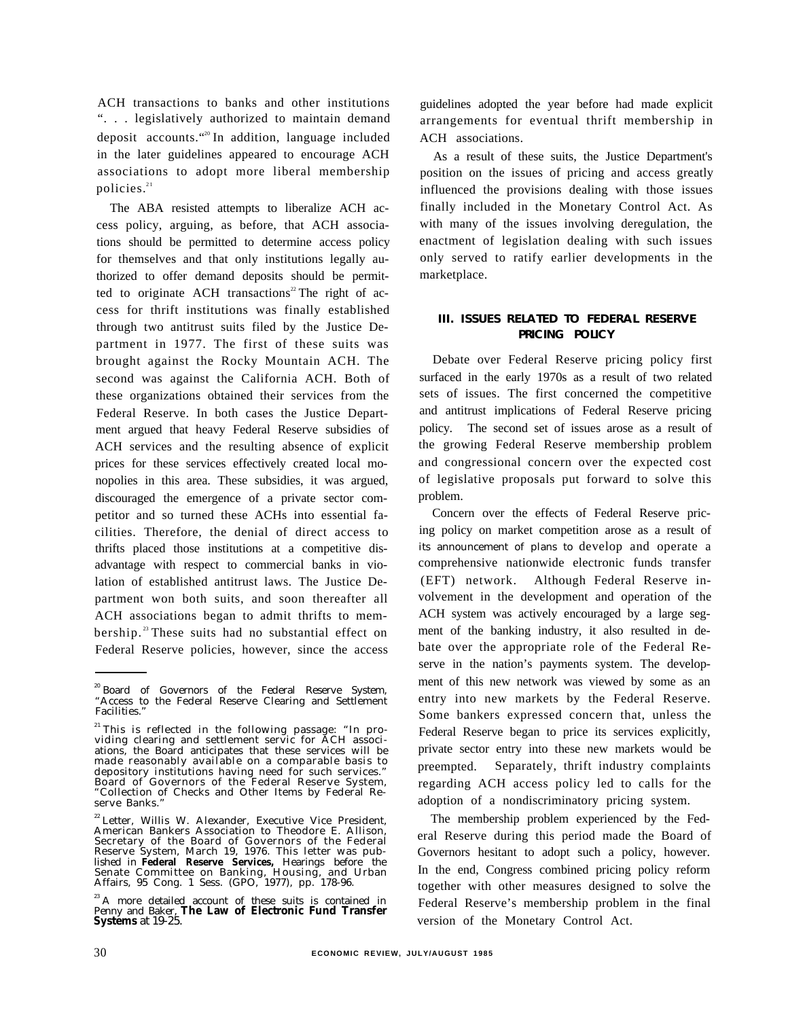ACH transactions to banks and other institutions ". . . legislatively authorized to maintain demand deposit accounts."<sup>20</sup> In addition, language included in the later guidelines appeared to encourage ACH associations to adopt more liberal membership policies.<sup>21</sup>

The ABA resisted attempts to liberalize ACH access policy, arguing, as before, that ACH associations should be permitted to determine access policy for themselves and that only institutions legally authorized to offer demand deposits should be permitted to originate ACH transactions<sup>22</sup> The right of access for thrift institutions was finally established through two antitrust suits filed by the Justice Department in 1977. The first of these suits was brought against the Rocky Mountain ACH. The second was against the California ACH. Both of these organizations obtained their services from the Federal Reserve. In both cases the Justice Department argued that heavy Federal Reserve subsidies of ACH services and the resulting absence of explicit prices for these services effectively created local monopolies in this area. These subsidies, it was argued, discouraged the emergence of a private sector competitor and so turned these ACHs into essential facilities. Therefore, the denial of direct access to thrifts placed those institutions at a competitive disadvantage with respect to commercial banks in violation of established antitrust laws. The Justice Department won both suits, and soon thereafter all ACH associations began to admit thrifts to membership.<sup>23</sup> These suits had no substantial effect on Federal Reserve policies, however, since the access

guidelines adopted the year before had made explicit arrangements for eventual thrift membership in ACH associations.

As a result of these suits, the Justice Department's position on the issues of pricing and access greatly influenced the provisions dealing with those issues finally included in the Monetary Control Act. As with many of the issues involving deregulation, the enactment of legislation dealing with such issues only served to ratify earlier developments in the marketplace.

# **III. ISSUES RELATED TO FEDERAL RESERVE PRICING POLICY**

Debate over Federal Reserve pricing policy first surfaced in the early 1970s as a result of two related sets of issues. The first concerned the competitive and antitrust implications of Federal Reserve pricing policy. The second set of issues arose as a result of the growing Federal Reserve membership problem and congressional concern over the expected cost of legislative proposals put forward to solve this problem.

Concern over the effects of Federal Reserve pricing policy on market competition arose as a result of its announcement of plans to develop and operate a comprehensive nationwide electronic funds transfer (EFT) network. Although Federal Reserve involvement in the development and operation of the ACH system was actively encouraged by a large segment of the banking industry, it also resulted in debate over the appropriate role of the Federal Reserve in the nation's payments system. The development of this new network was viewed by some as an entry into new markets by the Federal Reserve. Some bankers expressed concern that, unless the Federal Reserve began to price its services explicitly, private sector entry into these new markets would be preempted. Separately, thrift industry complaints regarding ACH access policy led to calls for the adoption of a nondiscriminatory pricing system.

The membership problem experienced by the Federal Reserve during this period made the Board of Governors hesitant to adopt such a policy, however. In the end, Congress combined pricing policy reform together with other measures designed to solve the Federal Reserve's membership problem in the final version of the Monetary Control Act.

<sup>&</sup>lt;sup>20</sup> Board of Governors of the Federal Reserve System, "Access to the Federal Reserve Clearing and Settlement Facilities."

<sup>&</sup>lt;sup>21</sup>This is reflected in the following passage: "In providing clearing and settlement servic for ACH associations, the Board anticipates that these services will be made reasonably available on a comparable basis to depository institutions having need for such services." Board of Governors of the Federal Reserve System, "Collection of Checks and Other Items by Federal Reserve Banks.

<sup>&</sup>lt;sup>22</sup> Letter, Willis W. Alexander, Executive Vice President, American Bankers Association to Theodore E. Allison, Secretary of the Board of Governors of the Federal Reserve System, March 19, 1976. This letter was published in **Federal Reserve Services,** Hearings before the Senate Committee on Banking, Housing, and Urban Affairs, 95 Cong. 1 Sess. (GPO, 1977), pp. 178-96.

<sup>&</sup>lt;sup>23</sup> A more detailed account of these suits is contained in Penny and Baker, **The Law of Electronic Fund Transfer Systems** at 19-25.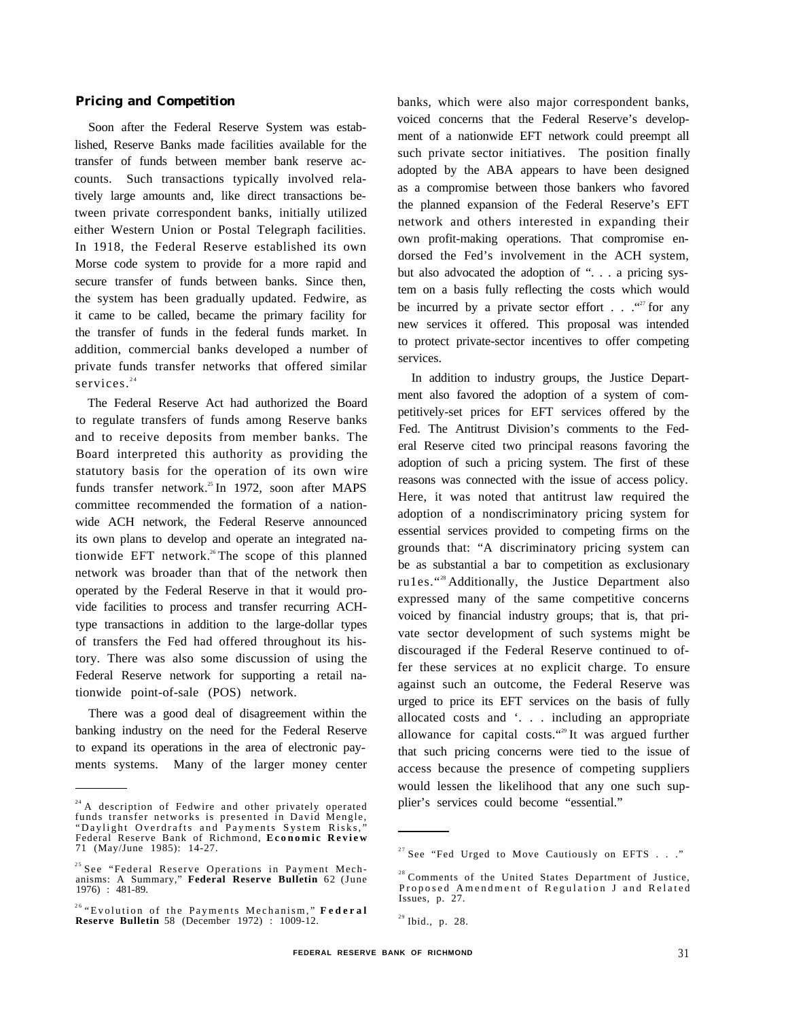#### **Pricing and Competition**

Soon after the Federal Reserve System was established, Reserve Banks made facilities available for the transfer of funds between member bank reserve accounts. Such transactions typically involved relatively large amounts and, like direct transactions between private correspondent banks, initially utilized either Western Union or Postal Telegraph facilities. In 1918, the Federal Reserve established its own Morse code system to provide for a more rapid and secure transfer of funds between banks. Since then, the system has been gradually updated. Fedwire, as it came to be called, became the primary facility for the transfer of funds in the federal funds market. In addition, commercial banks developed a number of private funds transfer networks that offered similar services.<sup>24</sup>

The Federal Reserve Act had authorized the Board to regulate transfers of funds among Reserve banks and to receive deposits from member banks. The Board interpreted this authority as providing the statutory basis for the operation of its own wire funds transfer network.<sup>25</sup> In 1972, soon after MAPS committee recommended the formation of a nationwide ACH network, the Federal Reserve announced its own plans to develop and operate an integrated nationwide EFT network.<sup>26</sup>The scope of this planned network was broader than that of the network then operated by the Federal Reserve in that it would provide facilities to process and transfer recurring ACHtype transactions in addition to the large-dollar types of transfers the Fed had offered throughout its history. There was also some discussion of using the Federal Reserve network for supporting a retail nationwide point-of-sale (POS) network.

There was a good deal of disagreement within the banking industry on the need for the Federal Reserve to expand its operations in the area of electronic payments systems. Many of the larger money center banks, which were also major correspondent banks, voiced concerns that the Federal Reserve's development of a nationwide EFT network could preempt all such private sector initiatives. The position finally adopted by the ABA appears to have been designed as a compromise between those bankers who favored the planned expansion of the Federal Reserve's EFT network and others interested in expanding their own profit-making operations. That compromise endorsed the Fed's involvement in the ACH system, but also advocated the adoption of ". . . a pricing system on a basis fully reflecting the costs which would be incurred by a private sector effort  $\ldots$ .  $\cdots$  for any new services it offered. This proposal was intended to protect private-sector incentives to offer competing services.

In addition to industry groups, the Justice Department also favored the adoption of a system of competitively-set prices for EFT services offered by the Fed. The Antitrust Division's comments to the Federal Reserve cited two principal reasons favoring the adoption of such a pricing system. The first of these reasons was connected with the issue of access policy. Here, it was noted that antitrust law required the adoption of a nondiscriminatory pricing system for essential services provided to competing firms on the grounds that: "A discriminatory pricing system can be as substantial a bar to competition as exclusionary ru1es."<sup>28</sup>Additionally, the Justice Department also expressed many of the same competitive concerns voiced by financial industry groups; that is, that private sector development of such systems might be discouraged if the Federal Reserve continued to offer these services at no explicit charge. To ensure against such an outcome, the Federal Reserve was urged to price its EFT services on the basis of fully allocated costs and '. . . including an appropriate allowance for capital costs."<sup>29</sup>It was argued further that such pricing concerns were tied to the issue of access because the presence of competing suppliers would lessen the likelihood that any one such supplier's services could become "essential."

<sup>&</sup>lt;sup>24</sup> A description of Fedwire and other privately operated<br>funds transfer networks is presented in David Mengle, "Daylight Overdrafts and Payments System Risks," Federal Reserve Bank of Richmond, **Economic Review** 71 (May/June 1985): 14-27.

<sup>&</sup>lt;sup>25</sup> See "Federal Reserve Operations in Payment Mechanisms: A Summary," **Federal Reserve Bulletin** 62 (June 1976) : 481-89.

<sup>26</sup>"Evolution of the Payments Mechanism," **Federal Reserve Bulletin** 58 (December 1972) : 1009-12.

 $27$  See "Fed Urged to Move Cautiously on EFTS . . ."

<sup>&</sup>lt;sup>28</sup> Comments of the United States Department of Justice, Proposed Amendment of Regulation J and Related Issues, p. 27.

 $^{29}$  Ibid., p. 28.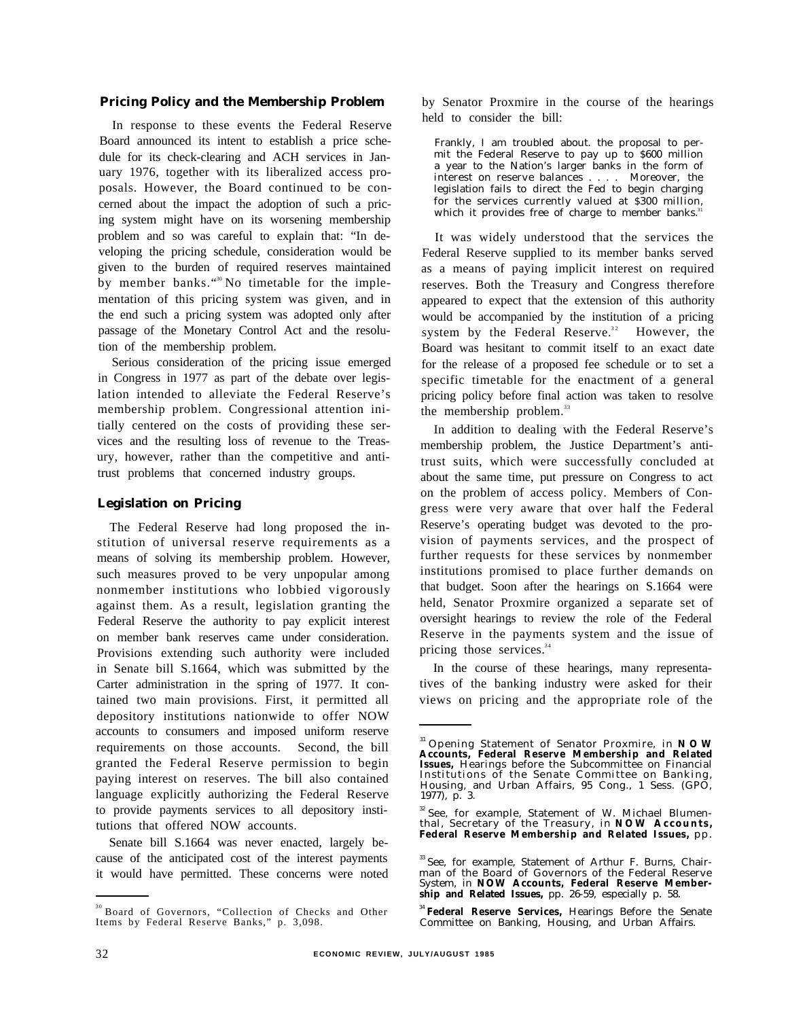#### **Pricing Policy and the Membership Problem**

In response to these events the Federal Reserve Board announced its intent to establish a price schedule for its check-clearing and ACH services in January 1976, together with its liberalized access proposals. However, the Board continued to be concerned about the impact the adoption of such a pricing system might have on its worsening membership problem and so was careful to explain that: "In developing the pricing schedule, consideration would be given to the burden of required reserves maintained by member banks."<sup>30</sup> No timetable for the implementation of this pricing system was given, and in the end such a pricing system was adopted only after passage of the Monetary Control Act and the resolution of the membership problem.

Serious consideration of the pricing issue emerged in Congress in 1977 as part of the debate over legislation intended to alleviate the Federal Reserve's membership problem. Congressional attention initially centered on the costs of providing these services and the resulting loss of revenue to the Treasury, however, rather than the competitive and antitrust problems that concerned industry groups.

### **Legislation on Pricing**

The Federal Reserve had long proposed the institution of universal reserve requirements as a means of solving its membership problem. However, such measures proved to be very unpopular among nonmember institutions who lobbied vigorously against them. As a result, legislation granting the Federal Reserve the authority to pay explicit interest on member bank reserves came under consideration. Provisions extending such authority were included in Senate bill S.1664, which was submitted by the Carter administration in the spring of 1977. It contained two main provisions. First, it permitted all depository institutions nationwide to offer NOW accounts to consumers and imposed uniform reserve requirements on those accounts. Second, the bill granted the Federal Reserve permission to begin paying interest on reserves. The bill also contained language explicitly authorizing the Federal Reserve to provide payments services to all depository institutions that offered NOW accounts.

Senate bill S.1664 was never enacted, largely because of the anticipated cost of the interest payments it would have permitted. These concerns were noted by Senator Proxmire in the course of the hearings held to consider the bill:

Frankly, I am troubled about. the proposal to permit the Federal Reserve to pay up to \$600 million a year to the Nation's larger banks in the form of interest on reserve balances . . . . Moreover, the legislation fails to direct the Fed to begin charging for the services currently valued at \$300 million, which it provides free of charge to member banks.<sup>31</sup>

It was widely understood that the services the Federal Reserve supplied to its member banks served as a means of paying implicit interest on required reserves. Both the Treasury and Congress therefore appeared to expect that the extension of this authority would be accompanied by the institution of a pricing system by the Federal Reserve.<sup>32</sup> However, the Board was hesitant to commit itself to an exact date for the release of a proposed fee schedule or to set a specific timetable for the enactment of a general pricing policy before final action was taken to resolve the membership problem.<sup>33</sup>

In addition to dealing with the Federal Reserve's membership problem, the Justice Department's antitrust suits, which were successfully concluded at about the same time, put pressure on Congress to act on the problem of access policy. Members of Congress were very aware that over half the Federal Reserve's operating budget was devoted to the provision of payments services, and the prospect of further requests for these services by nonmember institutions promised to place further demands on that budget. Soon after the hearings on S.1664 were held, Senator Proxmire organized a separate set of oversight hearings to review the role of the Federal Reserve in the payments system and the issue of pricing those services.<sup>34</sup>

In the course of these hearings, many representatives of the banking industry were asked for their views on pricing and the appropriate role of the

<sup>34</sup>**Federal Reserve Services,** Hearings Before the Senate Committee on Banking, Housing, and Urban Affairs.

<sup>&</sup>lt;sup>30</sup> Board of Governors, "Collection of Checks and Other Items by Federal Reserve Banks," p. 3,098.

<sup>&</sup>lt;sup>31</sup> Opening Statement of Senator Proxmire, in **NOW**<br>Accounts, Federal Reserve Membership and Related **Issues,** Hearings before the Subcommittee on Financial Institutions of the Senate Committee on Banking, Housing, and Urban Affairs, 95 Cong., 1 Sess. (GPO, 1977), p. 3.

<sup>&</sup>lt;sup>32</sup> See, for example, Statement of W. Michael Blumen-<br>thal, Secretary of the Treasury, in **NOW Accounts, Federal Reserve Membership and Related Issues,** pp.

<sup>&</sup>lt;sup>33</sup> See, for example, Statement of Arthur F. Burns, Chairman of the Board of Governors of the Federal Reserve System, in **NOW Accounts, Federal Reserve Membership and Related Issues,** pp. 26-59, especially p. 58.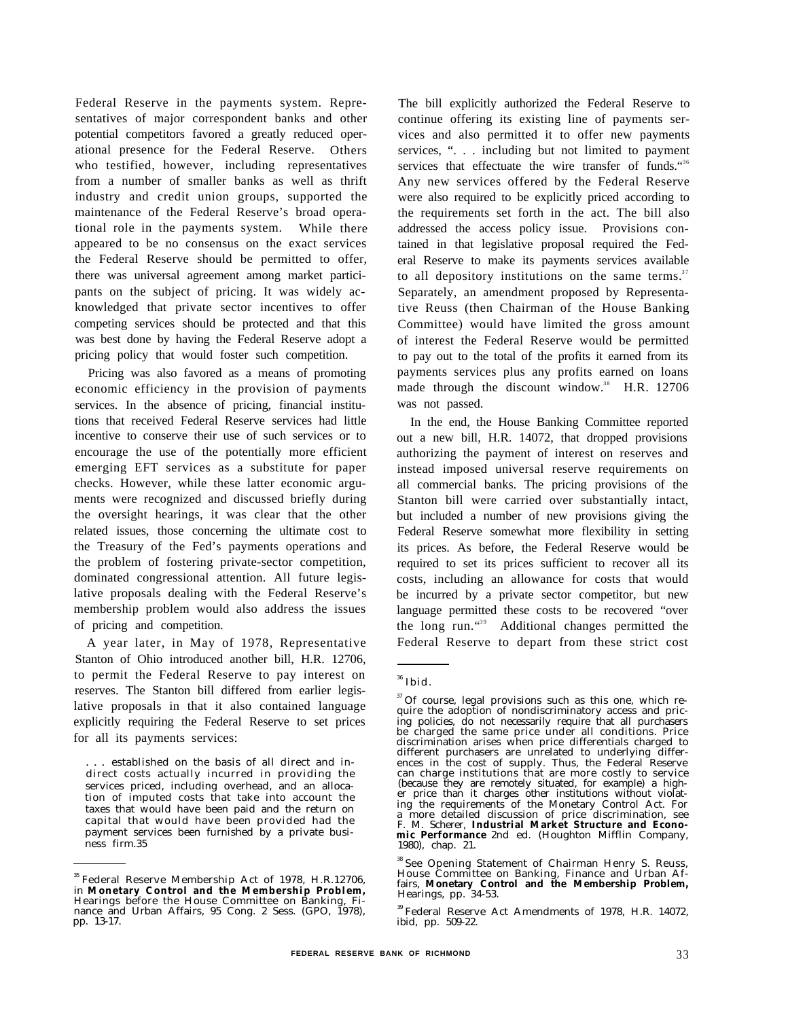Federal Reserve in the payments system. Representatives of major correspondent banks and other potential competitors favored a greatly reduced operational presence for the Federal Reserve. Others who testified, however, including representatives from a number of smaller banks as well as thrift industry and credit union groups, supported the maintenance of the Federal Reserve's broad operational role in the payments system. While there appeared to be no consensus on the exact services the Federal Reserve should be permitted to offer, there was universal agreement among market participants on the subject of pricing. It was widely acknowledged that private sector incentives to offer competing services should be protected and that this was best done by having the Federal Reserve adopt a pricing policy that would foster such competition.

Pricing was also favored as a means of promoting economic efficiency in the provision of payments services. In the absence of pricing, financial institutions that received Federal Reserve services had little incentive to conserve their use of such services or to encourage the use of the potentially more efficient emerging EFT services as a substitute for paper checks. However, while these latter economic arguments were recognized and discussed briefly during the oversight hearings, it was clear that the other related issues, those concerning the ultimate cost to the Treasury of the Fed's payments operations and the problem of fostering private-sector competition, dominated congressional attention. All future legislative proposals dealing with the Federal Reserve's membership problem would also address the issues of pricing and competition.

A year later, in May of 1978, Representative Stanton of Ohio introduced another bill, H.R. 12706, to permit the Federal Reserve to pay interest on reserves. The Stanton bill differed from earlier legislative proposals in that it also contained language explicitly requiring the Federal Reserve to set prices for all its payments services:

. . . established on the basis of all direct and indirect costs actually incurred in providing the services priced, including overhead, and an allocation of imputed costs that take into account the taxes that would have been paid and the return on capital that would have been provided had the payment services been furnished by a private business firm.35

The bill explicitly authorized the Federal Reserve to continue offering its existing line of payments services and also permitted it to offer new payments services, ". . . including but not limited to payment services that effectuate the wire transfer of funds."<sup>36</sup> Any new services offered by the Federal Reserve were also required to be explicitly priced according to the requirements set forth in the act. The bill also addressed the access policy issue. Provisions contained in that legislative proposal required the Federal Reserve to make its payments services available to all depository institutions on the same terms. $37$ Separately, an amendment proposed by Representative Reuss (then Chairman of the House Banking Committee) would have limited the gross amount of interest the Federal Reserve would be permitted to pay out to the total of the profits it earned from its payments services plus any profits earned on loans made through the discount window.<sup>38</sup> H.R. 12706 was not passed.

In the end, the House Banking Committee reported out a new bill, H.R. 14072, that dropped provisions authorizing the payment of interest on reserves and instead imposed universal reserve requirements on all commercial banks. The pricing provisions of the Stanton bill were carried over substantially intact, but included a number of new provisions giving the Federal Reserve somewhat more flexibility in setting its prices. As before, the Federal Reserve would be required to set its prices sufficient to recover all its costs, including an allowance for costs that would be incurred by a private sector competitor, but new language permitted these costs to be recovered "over the long run. $439}$  Additional changes permitted the Federal Reserve to depart from these strict cost

<sup>&</sup>lt;sup>35</sup> Federal Reserve Membership Act of 1978, H.R.12706, in **Monetary Control and the Membership Problem,** Hearings before the House Committee on Banking, Finance and Urban Affairs, 95 Cong. 2 Sess. (GPO, 1978), pp. 13-17.

 $^{\rm 36}$  Ibid.

<sup>&</sup>lt;sup>37</sup> Of course, legal provisions such as this one, which require the adoption of nondiscriminatory access and pricing policies, do not necessarily require that all purchasers be charged the same price under all conditions. Price discrimination arises when price differentials charged to different purchasers are unrelated to underlying differences in the cost of supply. Thus, the Federal Reserve can charge institutions that are more costly to service (because they are remotely situated, for example) a high-er price than it charges other institutions without violating the requirements of the Monetary Control Act. For a more detailed discussion of price discrimination, see F. M. Scherer, **Industrial Market Structure and Economic Performance** 2nd ed. (Houghton Mifflin Company, 1980), chap. 21.

<sup>&</sup>lt;sup>38</sup> See Opening Statement of Chairman Henry S. Reuss, House Committee on Banking, Finance and Urban Affairs, **Monetary Control and the Membership Problem,** Hearings, pp. 34-53.

<sup>39</sup>Federal Reserve Act Amendments of 1978, H.R. 14072, ibid, pp. 509-22.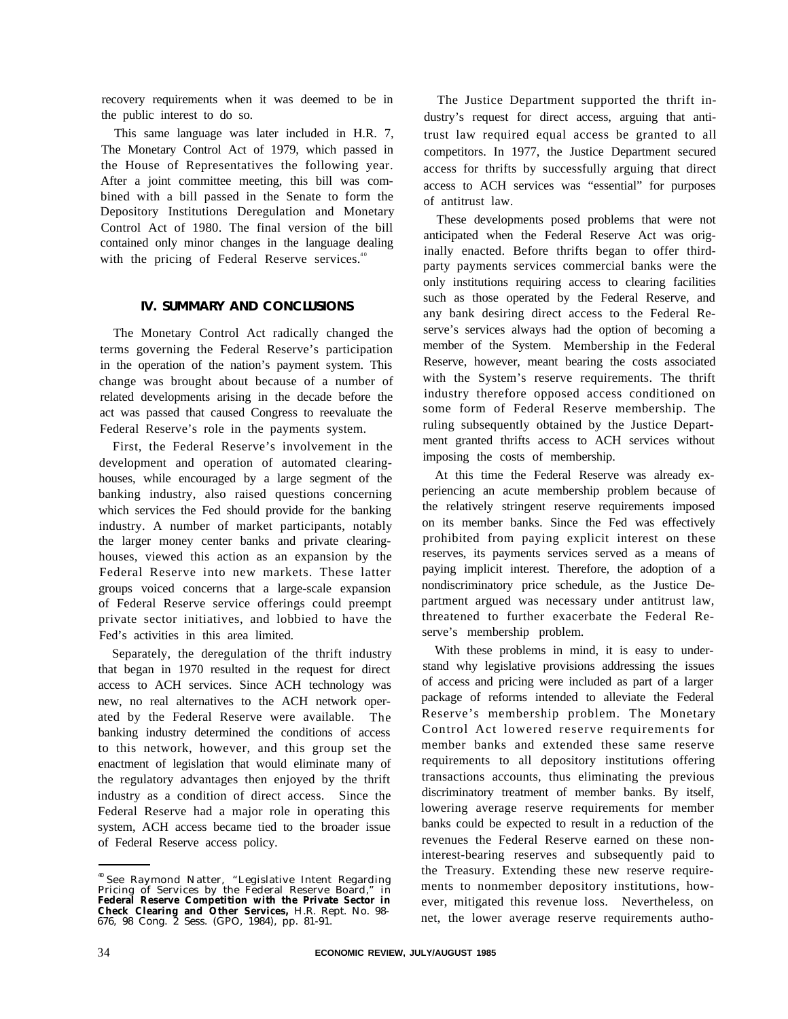recovery requirements when it was deemed to be in the public interest to do so.

This same language was later included in H.R. 7, The Monetary Control Act of 1979, which passed in the House of Representatives the following year. After a joint committee meeting, this bill was combined with a bill passed in the Senate to form the Depository Institutions Deregulation and Monetary Control Act of 1980. The final version of the bill contained only minor changes in the language dealing with the pricing of Federal Reserve services. $40$ 

## **IV. SUMMARY AND CONCLUSIONS**

The Monetary Control Act radically changed the terms governing the Federal Reserve's participation in the operation of the nation's payment system. This change was brought about because of a number of related developments arising in the decade before the act was passed that caused Congress to reevaluate the Federal Reserve's role in the payments system.

First, the Federal Reserve's involvement in the development and operation of automated clearinghouses, while encouraged by a large segment of the banking industry, also raised questions concerning which services the Fed should provide for the banking industry. A number of market participants, notably the larger money center banks and private clearinghouses, viewed this action as an expansion by the Federal Reserve into new markets. These latter groups voiced concerns that a large-scale expansion of Federal Reserve service offerings could preempt private sector initiatives, and lobbied to have the Fed's activities in this area limited.

Separately, the deregulation of the thrift industry that began in 1970 resulted in the request for direct access to ACH services. Since ACH technology was new, no real alternatives to the ACH network operated by the Federal Reserve were available. The banking industry determined the conditions of access to this network, however, and this group set the enactment of legislation that would eliminate many of the regulatory advantages then enjoyed by the thrift industry as a condition of direct access. Since the Federal Reserve had a major role in operating this system, ACH access became tied to the broader issue of Federal Reserve access policy.

The Justice Department supported the thrift industry's request for direct access, arguing that antitrust law required equal access be granted to all competitors. In 1977, the Justice Department secured access for thrifts by successfully arguing that direct access to ACH services was "essential" for purposes of antitrust law.

These developments posed problems that were not anticipated when the Federal Reserve Act was originally enacted. Before thrifts began to offer thirdparty payments services commercial banks were the only institutions requiring access to clearing facilities such as those operated by the Federal Reserve, and any bank desiring direct access to the Federal Reserve's services always had the option of becoming a member of the System. Membership in the Federal Reserve, however, meant bearing the costs associated with the System's reserve requirements. The thrift industry therefore opposed access conditioned on some form of Federal Reserve membership. The ruling subsequently obtained by the Justice Department granted thrifts access to ACH services without imposing the costs of membership.

At this time the Federal Reserve was already experiencing an acute membership problem because of the relatively stringent reserve requirements imposed on its member banks. Since the Fed was effectively prohibited from paying explicit interest on these reserves, its payments services served as a means of paying implicit interest. Therefore, the adoption of a nondiscriminatory price schedule, as the Justice Department argued was necessary under antitrust law, threatened to further exacerbate the Federal Reserve's membership problem.

With these problems in mind, it is easy to understand why legislative provisions addressing the issues of access and pricing were included as part of a larger package of reforms intended to alleviate the Federal Reserve's membership problem. The Monetary Control Act lowered reserve requirements for member banks and extended these same reserve requirements to all depository institutions offering transactions accounts, thus eliminating the previous discriminatory treatment of member banks. By itself, lowering average reserve requirements for member banks could be expected to result in a reduction of the revenues the Federal Reserve earned on these noninterest-bearing reserves and subsequently paid to the Treasury. Extending these new reserve requirements to nonmember depository institutions, however, mitigated this revenue loss. Nevertheless, on net, the lower average reserve requirements autho-

<sup>40</sup>See Raymond Natter, "Legislative Intent Regarding Pricing of Services by the Federal Reserve Board," in **Federal Reserve Competition with the Private Sector in Check Clearing and Other Services,** H.R. Rept. No. 98- 676, 98 Cong. 2 Sess. (GPO, 1984), pp. 81-91.